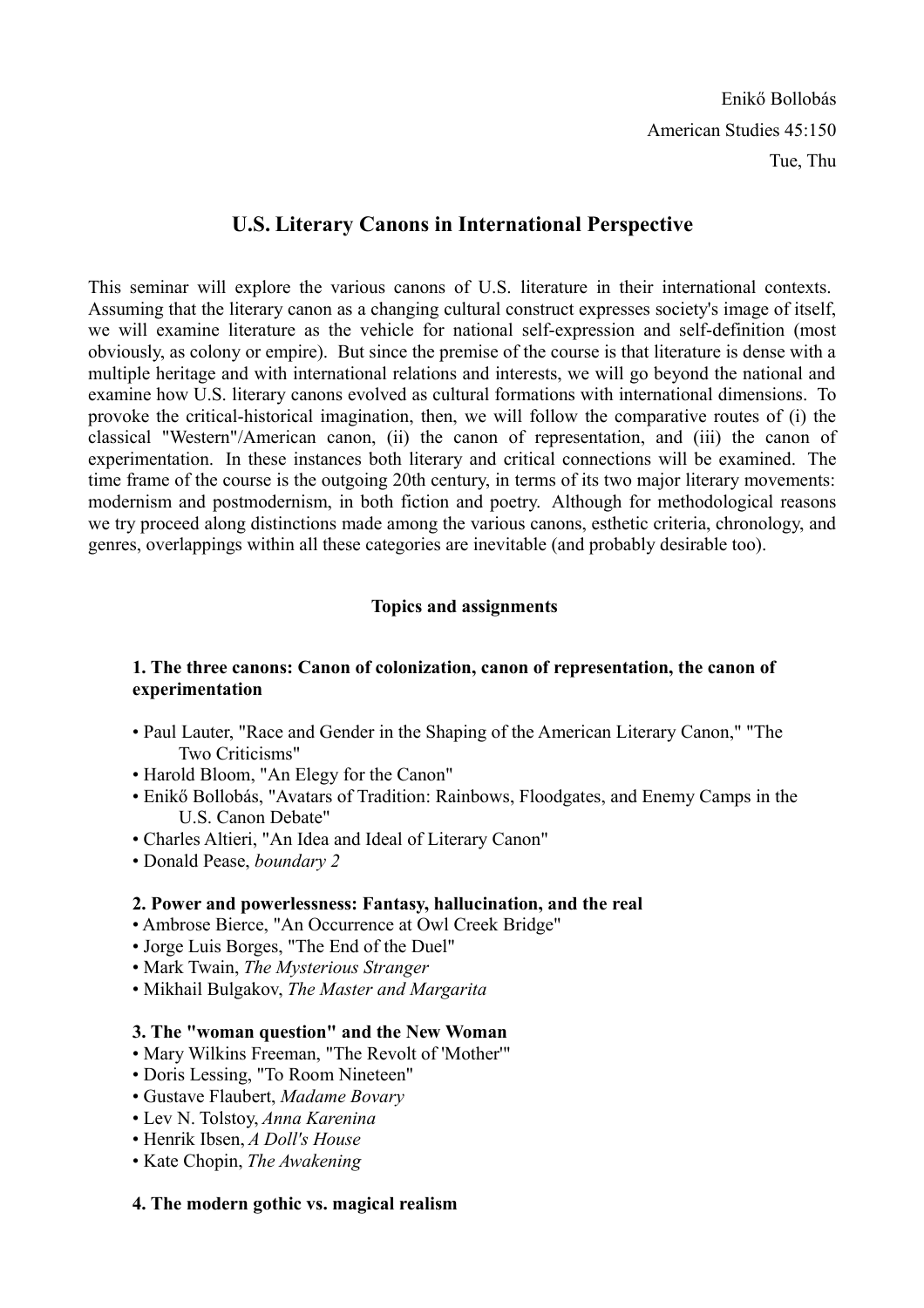# **U.S. Literary Canons in International Perspective**

This seminar will explore the various canons of U.S. literature in their international contexts. Assuming that the literary canon as a changing cultural construct expresses society's image of itself, we will examine literature as the vehicle for national self-expression and self-definition (most obviously, as colony or empire). But since the premise of the course is that literature is dense with a multiple heritage and with international relations and interests, we will go beyond the national and examine how U.S. literary canons evolved as cultural formations with international dimensions. To provoke the critical-historical imagination, then, we will follow the comparative routes of (i) the classical "Western"/American canon, (ii) the canon of representation, and (iii) the canon of experimentation. In these instances both literary and critical connections will be examined. The time frame of the course is the outgoing 20th century, in terms of its two major literary movements: modernism and postmodernism, in both fiction and poetry. Although for methodological reasons we try proceed along distinctions made among the various canons, esthetic criteria, chronology, and genres, overlappings within all these categories are inevitable (and probably desirable too).

## **Topics and assignments**

### **1. The three canons: Canon of colonization, canon of representation, the canon of experimentation**

- Paul Lauter, "Race and Gender in the Shaping of the American Literary Canon," "The Two Criticisms"
- Harold Bloom, "An Elegy for the Canon"
- Enikő Bollobás, "Avatars of Tradition: Rainbows, Floodgates, and Enemy Camps in the U.S. Canon Debate"
- Charles Altieri, "An Idea and Ideal of Literary Canon"
- Donald Pease, *boundary 2*

### **2. Power and powerlessness: Fantasy, hallucination, and the real**

- Ambrose Bierce, "An Occurrence at Owl Creek Bridge"
- Jorge Luis Borges, "The End of the Duel"
- Mark Twain, *The Mysterious Stranger*
- Mikhail Bulgakov, *The Master and Margarita*

### **3. The "woman question" and the New Woman**

- Mary Wilkins Freeman, "The Revolt of 'Mother'"
- Doris Lessing, "To Room Nineteen"
- Gustave Flaubert, *Madame Bovary*
- Lev N. Tolstoy, *Anna Karenina*
- Henrik Ibsen, *A Doll's House*
- Kate Chopin, *The Awakening*

### **4. The modern gothic vs. magical realism**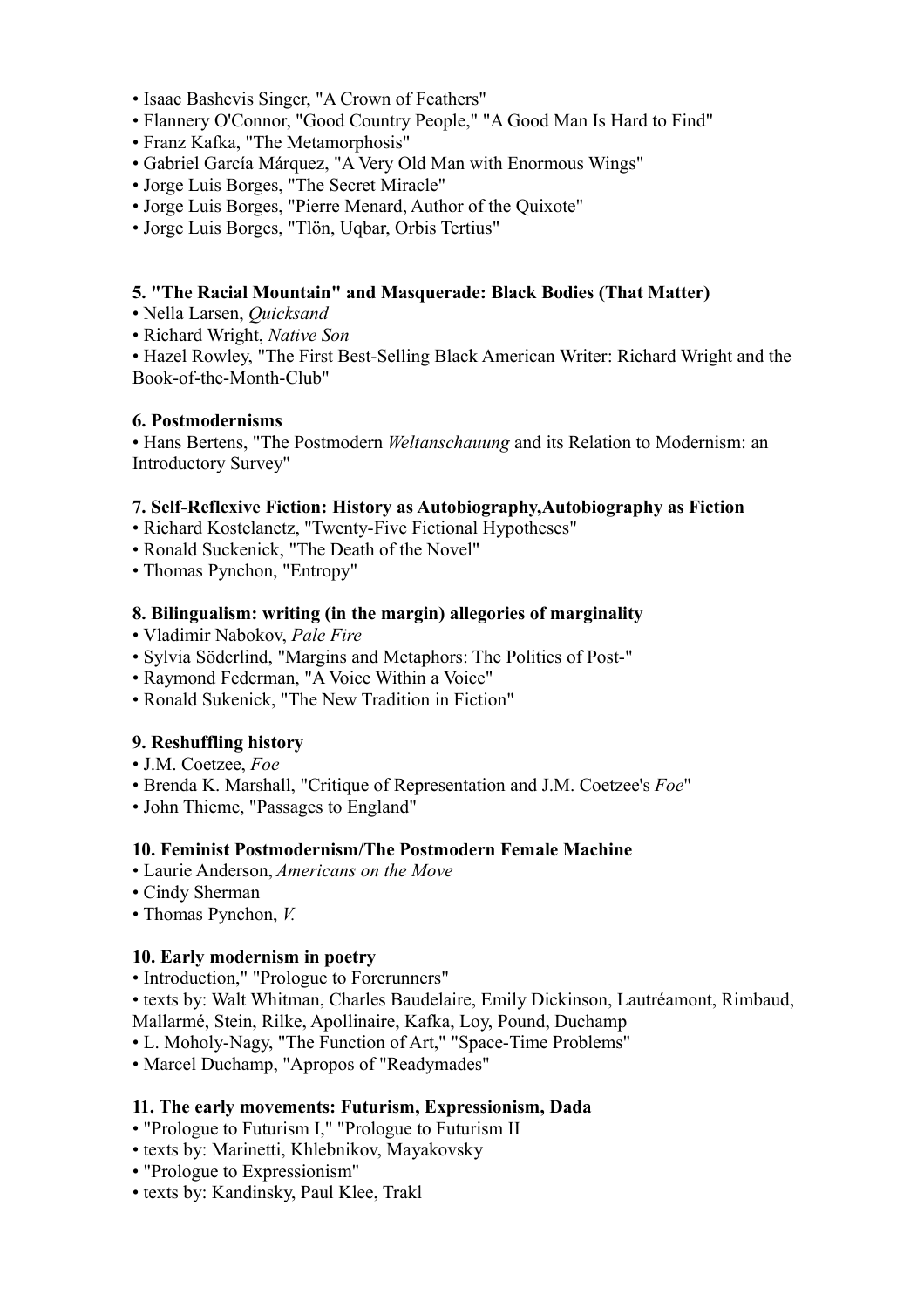- Isaac Bashevis Singer, "A Crown of Feathers"
- Flannery O'Connor, "Good Country People," "A Good Man Is Hard to Find"
- Franz Kafka, "The Metamorphosis"
- Gabriel García Márquez, "A Very Old Man with Enormous Wings"
- Jorge Luis Borges, "The Secret Miracle"
- Jorge Luis Borges, "Pierre Menard, Author of the Quixote"
- Jorge Luis Borges, "Tlön, Uqbar, Orbis Tertius"

### **5. "The Racial Mountain" and Masquerade: Black Bodies (That Matter)**

- Nella Larsen, *Quicksand*
- Richard Wright, *Native Son*

• Hazel Rowley, "The First Best-Selling Black American Writer: Richard Wright and the Book-of-the-Month-Club"

### **6. Postmodernisms**

• Hans Bertens, "The Postmodern *Weltanschauung* and its Relation to Modernism: an Introductory Survey"

### **7. Self-Reflexive Fiction: History as Autobiography,Autobiography as Fiction**

- Richard Kostelanetz, "Twenty-Five Fictional Hypotheses"
- Ronald Suckenick, "The Death of the Novel"
- Thomas Pynchon, "Entropy"

### **8. Bilingualism: writing (in the margin) allegories of marginality**

- Vladimir Nabokov, *Pale Fire*
- Sylvia Söderlind, "Margins and Metaphors: The Politics of Post-"
- Raymond Federman, "A Voice Within a Voice"
- Ronald Sukenick, "The New Tradition in Fiction"

### **9. Reshuffling history**

- J.M. Coetzee, *Foe*
- Brenda K. Marshall, "Critique of Representation and J.M. Coetzee's *Foe*"
- John Thieme, "Passages to England"

### **10. Feminist Postmodernism/The Postmodern Female Machine**

- Laurie Anderson, *Americans on the Move*
- Cindy Sherman
- Thomas Pynchon, *V.*

### **10. Early modernism in poetry**

- Introduction," "Prologue to Forerunners"
- texts by: Walt Whitman, Charles Baudelaire, Emily Dickinson, Lautréamont, Rimbaud,
- Mallarmé, Stein, Rilke, Apollinaire, Kafka, Loy, Pound, Duchamp
- L. Moholy-Nagy, "The Function of Art," "Space-Time Problems"
- Marcel Duchamp, "Apropos of "Readymades"

### **11. The early movements: Futurism, Expressionism, Dada**

- "Prologue to Futurism I," "Prologue to Futurism II
- texts by: Marinetti, Khlebnikov, Mayakovsky
- "Prologue to Expressionism"
- texts by: Kandinsky, Paul Klee, Trakl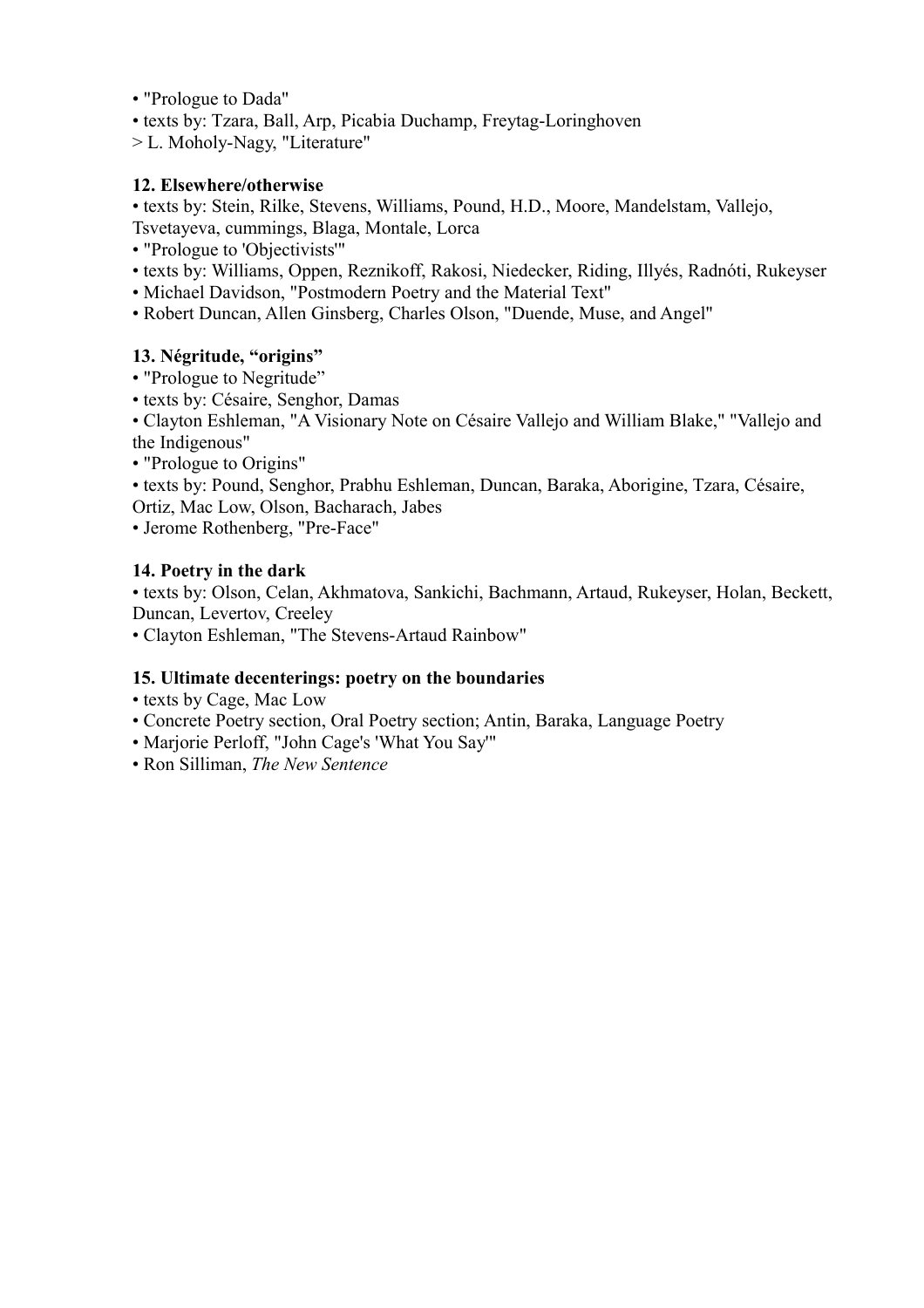- "Prologue to Dada"
- texts by: Tzara, Ball, Arp, Picabia Duchamp, Freytag-Loringhoven
- > L. Moholy-Nagy, "Literature"

### **12. Elsewhere/otherwise**

• texts by: Stein, Rilke, Stevens, Williams, Pound, H.D., Moore, Mandelstam, Vallejo, Tsvetayeva, cummings, Blaga, Montale, Lorca

- "Prologue to 'Objectivists'"
- texts by: Williams, Oppen, Reznikoff, Rakosi, Niedecker, Riding, Illyés, Radnóti, Rukeyser
- Michael Davidson, "Postmodern Poetry and the Material Text"
- Robert Duncan, Allen Ginsberg, Charles Olson, "Duende, Muse, and Angel"

## **13. Négritude, "origins"**

- "Prologue to Negritude"
- texts by: Césaire, Senghor, Damas

• Clayton Eshleman, "A Visionary Note on Césaire Vallejo and William Blake," "Vallejo and the Indigenous"

• "Prologue to Origins"

• texts by: Pound, Senghor, Prabhu Eshleman, Duncan, Baraka, Aborigine, Tzara, Césaire, Ortiz, Mac Low, Olson, Bacharach, Jabes

• Jerome Rothenberg, "Pre-Face"

### **14. Poetry in the dark**

• texts by: Olson, Celan, Akhmatova, Sankichi, Bachmann, Artaud, Rukeyser, Holan, Beckett, Duncan, Levertov, Creeley

• Clayton Eshleman, "The Stevens-Artaud Rainbow"

### **15. Ultimate decenterings: poetry on the boundaries**

- texts by Cage, Mac Low
- Concrete Poetry section, Oral Poetry section; Antin, Baraka, Language Poetry
- Marjorie Perloff, "John Cage's 'What You Say'"
- Ron Silliman, *The New Sentence*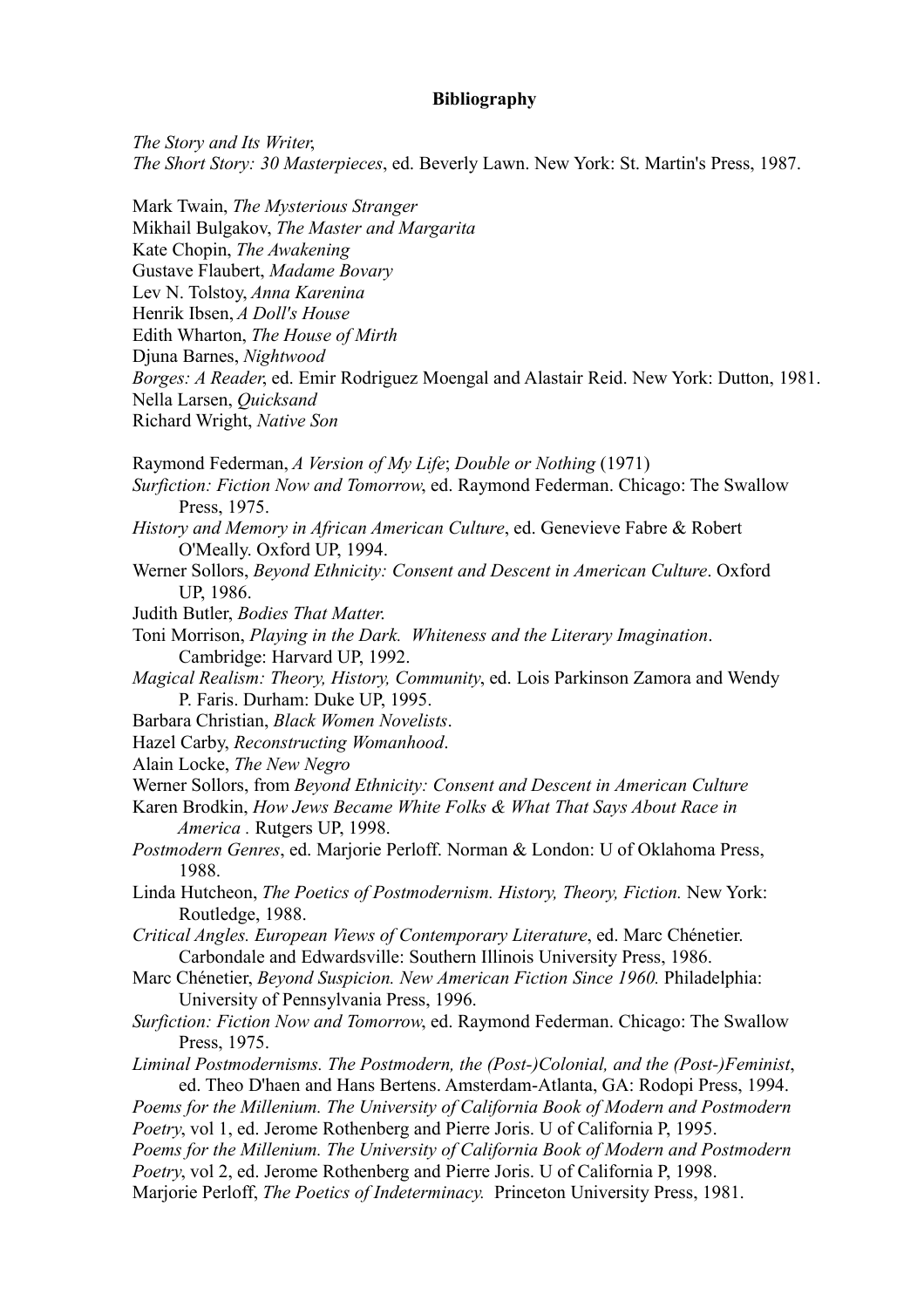#### **Bibliography**

*The Story and Its Writer*, *The Short Story: 30 Masterpieces*, ed. Beverly Lawn. New York: St. Martin's Press, 1987. Mark Twain, *The Mysterious Stranger* Mikhail Bulgakov, *The Master and Margarita*  Kate Chopin, *The Awakening* Gustave Flaubert, *Madame Bovary* Lev N. Tolstoy, *Anna Karenina* Henrik Ibsen, *A Doll's House* Edith Wharton, *The House of Mirth* Djuna Barnes, *Nightwood Borges: A Reader*, ed. Emir Rodriguez Moengal and Alastair Reid. New York: Dutton, 1981. Nella Larsen, *Quicksand* Richard Wright, *Native Son* Raymond Federman, *A Version of My Life*; *Double or Nothing* (1971) *Surfiction: Fiction Now and Tomorrow*, ed. Raymond Federman. Chicago: The Swallow Press, 1975. *History and Memory in African American Culture*, ed. Genevieve Fabre & Robert O'Meally. Oxford UP, 1994. Werner Sollors, *Beyond Ethnicity: Consent and Descent in American Culture*. Oxford UP, 1986. Judith Butler, *Bodies That Matter*. Toni Morrison, *Playing in the Dark. Whiteness and the Literary Imagination*. Cambridge: Harvard UP, 1992. *Magical Realism: Theory, History, Community*, ed. Lois Parkinson Zamora and Wendy P. Faris. Durham: Duke UP, 1995. Barbara Christian, *Black Women Novelists*. Hazel Carby, *Reconstructing Womanhood*. Alain Locke, *The New Negro* Werner Sollors, from *Beyond Ethnicity: Consent and Descent in American Culture* Karen Brodkin, *How Jews Became White Folks & What That Says About Race in America .* Rutgers UP, 1998. *Postmodern Genres*, ed. Marjorie Perloff. Norman & London: U of Oklahoma Press, 1988. Linda Hutcheon, *The Poetics of Postmodernism. History, Theory, Fiction.* New York: Routledge, 1988. *Critical Angles. European Views of Contemporary Literature*, ed. Marc Chénetier. Carbondale and Edwardsville: Southern Illinois University Press, 1986. Marc Chénetier, *Beyond Suspicion. New American Fiction Since 1960.* Philadelphia: University of Pennsylvania Press, 1996. *Surfiction: Fiction Now and Tomorrow*, ed. Raymond Federman. Chicago: The Swallow Press, 1975. *Liminal Postmodernisms. The Postmodern, the (Post-)Colonial, and the (Post-)Feminist*, ed. Theo D'haen and Hans Bertens. Amsterdam-Atlanta, GA: Rodopi Press, 1994. *Poems for the Millenium. The University of California Book of Modern and Postmodern Poetry*, vol 1, ed. Jerome Rothenberg and Pierre Joris. U of California P, 1995. *Poems for the Millenium. The University of California Book of Modern and Postmodern Poetry*, vol 2, ed. Jerome Rothenberg and Pierre Joris. U of California P, 1998. Marjorie Perloff, *The Poetics of Indeterminacy.* Princeton University Press, 1981.